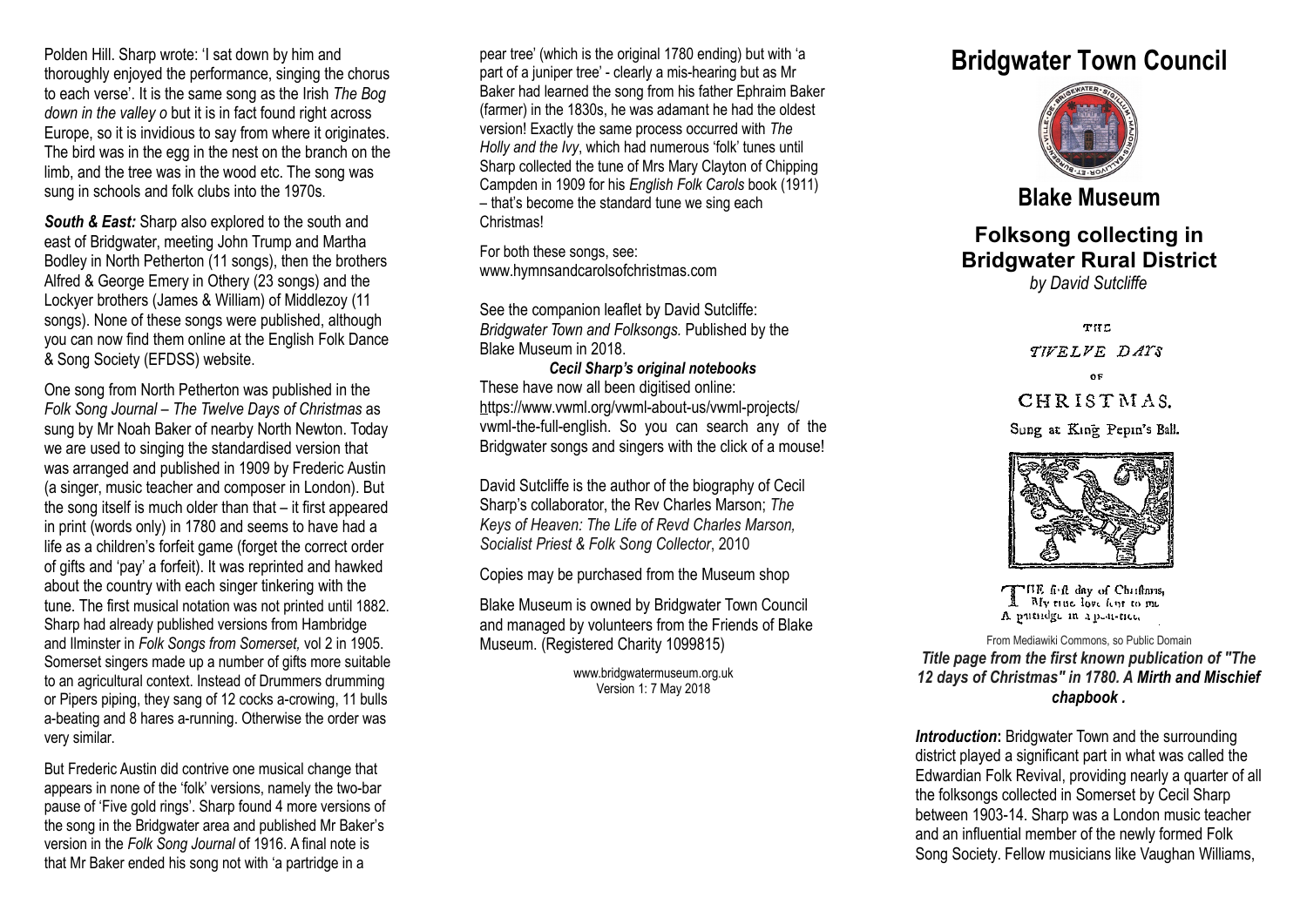Polden Hill. Sharp wrote: 'I sat down by him and thoroughly enjoyed the performance, singing the chorus to each verse'. It is the same song as the Irish *The Bog down in the valley o but it is in fact found right across* Europe, so it is invidious to say from where it originates. The bird was in the egg in the nest on the branch on the limb, and the tree was in the wood etc. The song was sung in schools and folk clubs into the 1970s.

*South & East:* Sharp also explored to the south and east of Bridgwater, meeting John Trump and Martha Bodley in North Petherton (11 songs), then the brothers Alfred & George Emery in Othery (23 songs) and the Lockyer brothers (James & William) of Middlezoy (11 songs). None of these songs were published, although you can now find them online at the English Folk Dance & Song Society (EFDSS) website.

One song from North Petherton was published in the *Folk Song Journal* – *The Twelve Days of Christmas* as sung by Mr Noah Baker of nearby North Newton. Today we are used to singing the standardised version that was arranged and published in 1909 by Frederic Austin (a singer, music teacher and composer in London). But the song itself is much older than that – it first appeared in print (words only) in 1780 and seems to have had a life as a children's forfeit game (forget the correct order of gifts and 'pay' a forfeit). It was reprinted and hawked about the country with each singer tinkering with the tune. The first musical notation was not printed until 1882. Sharp had already published versions from Hambridge and Ilminster in *Folk Songs from Somerset,* vol 2 in 1905. Somerset singers made up a number of gifts more suitable to an agricultural context. Instead of Drummers drumming or Pipers piping, they sang of 12 cocks a-crowing, 11 bulls a-beating and 8 hares a-running. Otherwise the order was very similar.

But Frederic Austin did contrive one musical change that appears in none of the 'folk' versions, namely the two-bar pause of 'Five gold rings'. Sharp found 4 more versions of the song in the Bridgwater area and published Mr Baker's version in the *Folk Song Journal* of 1916. A final note is that Mr Baker ended his song not with 'a partridge in a

pear tree' (which is the original 1780 ending) but with 'a part of a juniper tree' - clearly a mis-hearing but as Mr Baker had learned the song from his father Ephraim Baker (farmer) in the 1830s, he was adamant he had the oldest version! Exactly the same process occurred with *The Holly and the Ivy*, which had numerous 'folk' tunes until Sharp collected the tune of Mrs Mary Clayton of Chipping Campden in 1909 for his *English Folk Carols* book (1911) – that's become the standard tune we sing each Christmas!

For both these songs, see: www.hymnsandcarolsofchristmas.com

See the companion leaflet by David Sutcliffe: *Bridgwater Town and Folksongs.* Published by the Blake Museum in 2018.

*Cecil Sharp's original notebooks* These have now all been digitised online: [ht](https://www.vwml.org/vwml-about-us/vwml-projects/vwml-the-full-english)tps://www.vwml.org/vwml-about-us/vwml-projects/ vwml-the-full-english. So you can search any of the Bridgwater songs and singers with the click of a mouse!

David Sutcliffe is the author of the biography of Cecil Sharp's collaborator, the Rev Charles Marson; *The Keys of Heaven: The Life of Revd Charles Marson, Socialist Priest & Folk Song Collector*, 2010

Copies may be purchased from the Museum shop

Blake Museum is owned by Bridgwater Town Council and managed by volunteers from the Friends of Blake Museum. (Registered Charity 1099815)

> www.bridgwatermuseum.org.uk Version 1: 7 May 2018

## **Bridgwater Town Council**



## **Blake Museum**

## **Folksong collecting in Bridgwater Rural District**

*by David Sutcliffe*

THE

TIVELYE DAYS

0F

CHRISTMAS.

Sung at King Pepin's Ball.



THE firft day of Christmus, A My time love feur to me A putudge in a peu-titu

From Mediawiki Commons, so Public Domain *Title page from the first known publication of "The 12 days of Christmas" in 1780. A Mirth and Mischief chapbook .*

**Introduction:** Bridgwater Town and the surrounding district played a significant part in what was called the Edwardian Folk Revival, providing nearly a quarter of all the folksongs collected in Somerset by Cecil Sharp between 1903-14. Sharp was a London music teacher and an influential member of the newly formed Folk Song Society. Fellow musicians like Vaughan Williams,